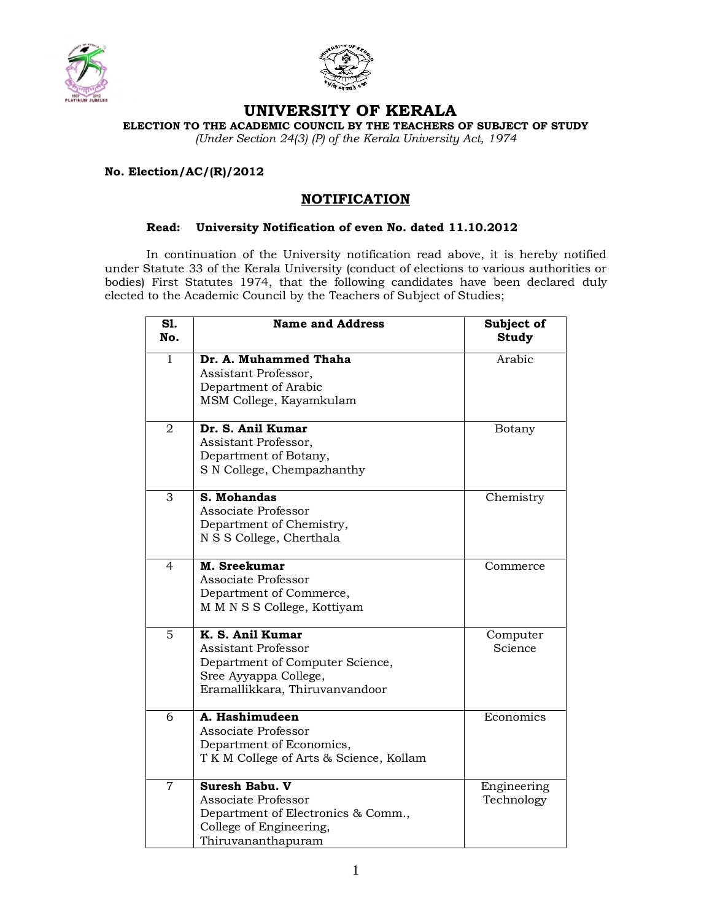



## **UNIVERSITY OF KERALA**

**ELECTION TO THE ACADEMIC COUNCIL BY THE TEACHERS OF SUBJECT OF STUDY** 

*(Under Section 24(3) (P) of the Kerala University Act, 1974*

## **No. Election/AC/(R)/2012**

## **NOTIFICATION**

## **Read: University Notification of even No. dated 11.10.2012**

In continuation of the University notification read above, it is hereby notified under Statute 33 of the Kerala University (conduct of elections to various authorities or bodies) First Statutes 1974, that the following candidates have been declared duly elected to the Academic Council by the Teachers of Subject of Studies;

| S1.<br>No.     | <b>Name and Address</b>                                                                                                                      | Subject of<br><b>Study</b> |
|----------------|----------------------------------------------------------------------------------------------------------------------------------------------|----------------------------|
| $\mathbf{1}$   | Dr. A. Muhammed Thaha<br>Assistant Professor,<br>Department of Arabic<br>MSM College, Kayamkulam                                             | Arabic                     |
| 2              | Dr. S. Anil Kumar<br>Assistant Professor,<br>Department of Botany,<br>S N College, Chempazhanthy                                             | Botany                     |
| 3              | S. Mohandas<br>Associate Professor<br>Department of Chemistry,<br>N S S College, Cherthala                                                   | Chemistry                  |
| $\overline{4}$ | M. Sreekumar<br>Associate Professor<br>Department of Commerce,<br>M M N S S College, Kottiyam                                                | Commerce                   |
| 5              | K. S. Anil Kumar<br><b>Assistant Professor</b><br>Department of Computer Science,<br>Sree Ayyappa College,<br>Eramallikkara, Thiruvanvandoor | Computer<br>Science        |
| $\overline{6}$ | A. Hashimudeen<br>Associate Professor<br>Department of Economics,<br>T K M College of Arts & Science, Kollam                                 | Economics                  |
| $\overline{7}$ | Suresh Babu. V<br>Associate Professor<br>Department of Electronics & Comm.,<br>College of Engineering,<br>Thiruvananthapuram                 | Engineering<br>Technology  |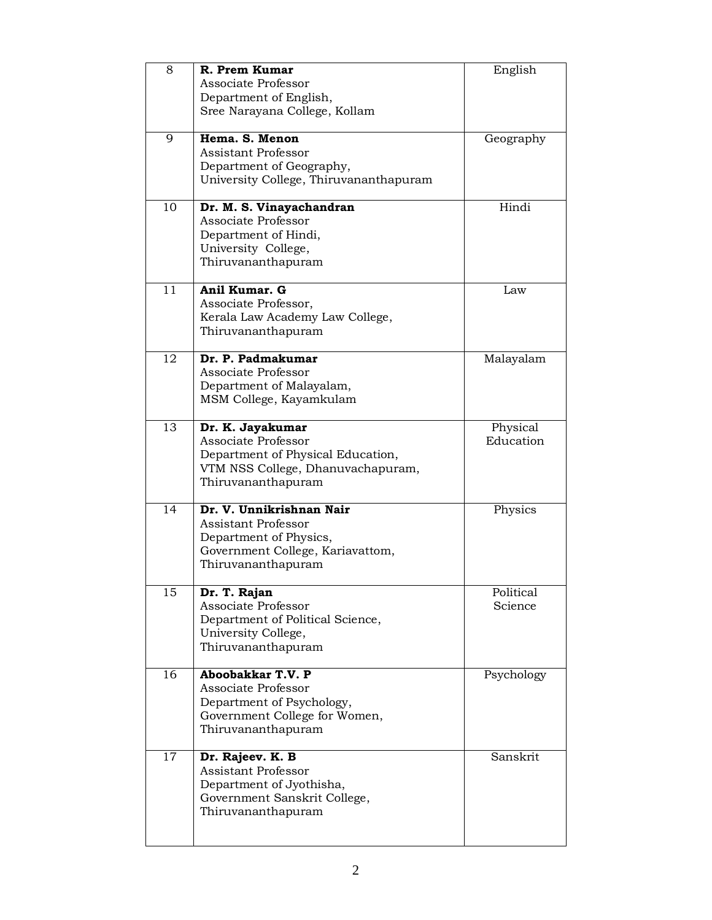| 8  | R. Prem Kumar                          | English    |
|----|----------------------------------------|------------|
|    | Associate Professor                    |            |
|    | Department of English,                 |            |
|    | Sree Narayana College, Kollam          |            |
| 9  | Hema, S. Menon                         | Geography  |
|    | <b>Assistant Professor</b>             |            |
|    | Department of Geography,               |            |
|    | University College, Thiruvananthapuram |            |
|    |                                        |            |
| 10 | Dr. M. S. Vinayachandran               | Hindi      |
|    | Associate Professor                    |            |
|    | Department of Hindi,                   |            |
|    | University College,                    |            |
|    | Thiruvananthapuram                     |            |
| 11 | Anil Kumar. G                          | Law        |
|    | Associate Professor,                   |            |
|    | Kerala Law Academy Law College,        |            |
|    | Thiruvananthapuram                     |            |
| 12 | Dr. P. Padmakumar                      | Malayalam  |
|    | Associate Professor                    |            |
|    | Department of Malayalam,               |            |
|    | MSM College, Kayamkulam                |            |
| 13 | Dr. K. Jayakumar                       | Physical   |
|    | Associate Professor                    | Education  |
|    | Department of Physical Education,      |            |
|    | VTM NSS College, Dhanuvachapuram,      |            |
|    | Thiruvananthapuram                     |            |
| 14 | Dr. V. Unnikrishnan Nair               | Physics    |
|    | <b>Assistant Professor</b>             |            |
|    | Department of Physics,                 |            |
|    | Government College, Kariavattom,       |            |
|    | Thiruvananthapuram                     |            |
| 15 | Dr. T. Rajan                           | Political  |
|    | Associate Professor                    | Science    |
|    | Department of Political Science,       |            |
|    | University College,                    |            |
|    | Thiruvananthapuram                     |            |
| 16 | Aboobakkar T.V. P                      | Psychology |
|    | Associate Professor                    |            |
|    | Department of Psychology,              |            |
|    | Government College for Women,          |            |
|    | Thiruvananthapuram                     |            |
| 17 | Dr. Rajeev. K. B                       | Sanskrit   |
|    | <b>Assistant Professor</b>             |            |
|    | Department of Jyothisha,               |            |
|    | Government Sanskrit College,           |            |
|    | Thiruvananthapuram                     |            |
|    |                                        |            |
|    |                                        |            |